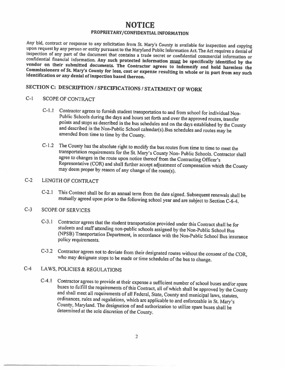## NOTICE

### PROPRIETARY/CONFIDENTIAL INFORMATION

Any bid, contract or response to any solicitation from St. Mary's County is available for inspection and copying<br>upon request by any person or entity pursuant to the Maryland Public information Act. The Act requires a deni

## SECTION C: DESCRIPTION / SPECIFICATIONS / STATEMENT OF WORK

### C-I SCOPE OF CONTRACT

- C-1.1 Contractor agrees to furnish student transportation to and from school for individual Non-<br>Public Schools during the days and hours set forth and over the approved routes, transfer<br>points and stops as described in th
- C-1.2 The County has the absolute right to modify the bus routes from time to time to meet the transportation requirements for the St. Mary's County Non- Public Schools. Contractor shall agree to changes in the route upon Representative (COR) and shall further accept adjustment of compensation which the County may deem proper by reason of any change of the route(s).

### C-2 LENGTH OF CONTRACT

C-2.l This Contract shall be for an annual term from the date signed. Subsequent renewals shall be mutually agreed upon prior to the following school year and are subject to Section C-6-4.

### C-3 SCOPE OF SERVICES

- C-3.1 Contractor agrees that the student transportation provided under this Contract shall be for students and staff attending non-public schools assigned by the Non-Public School Bus (NPSB) Transportation Department, in a
- C-3.2 Contractor agrees not to deviate from their designated routes without the consent of the COR, who may designate stops to be made or time schedules of the bus to change.

### C-4 LAWS, POLiCIES & REGULATIONS

C-4.1 Contractor agrees to provide at their expense a sufficient number of school buses and/or spare<br>buses to fulfill the requirements of this Contract, all of which shall be approved by the County<br>and shall meet all requi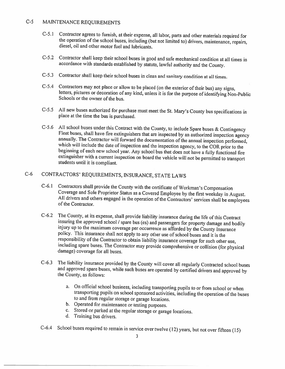### C-5 MAINTENANCE REQUIREMENTS

- C-5.1 Contractor agrees to furnish, at their expense, all labor, parts and other materials required for the operation of the school buses, including (but not limited to) drivers, maintenance, repairs, diesel, oil and other
- C-5.2 Contractor shall keep their school buses in good and safe mechanical condition at all times in accordance with standards established by statute, lawful authority and the County.
- C-5.3 Contractor shall keep their school buses in clean and sanitary condition at all times.
- C-5.4 Contractors may not place or allow to be placed (on the exterior of their bus) any signs,<br>letters, pictures or decoration of any kind, unless it is for the purpose of identifying Non-Public<br>Schools or the owner of th
- C-5.5 All new buses authorized for purchase must meet the St. Mary's County bus specifications in <sup>p</sup>lace at the time the bus is purchased.
- C-5.6 All school buses under this Contract with the County, to include Spare buses & Contingency<br>Fleet buses, shall have fire extinguishers that are inspected by an authorized inspection agency<br>annually. The Contractor wil

### C-6 CONTRACTORS' REQUIREMENTS, INSURANCE, STATE LAWS

- C-6.1 Contractors shall provide the County with the certificate of Workman's Compensation<br>Coverage and Sole Proprietor Status as a Covered Employee by the first weekday in August.<br>All drivers and others engaged in the oper
- C-6.2 The County, at its expense, shall provide liability insurance during the life of this Contract insuring the approved school / spare bus (es) and passengers for property damage and bodily injury up to the maximum cove responsibility of the Contractor to obtain liability insurance coverage for such other use, including spare buses. The Contractor may provide comprehensive or collision (for physical damage) coverage for all buses.
- C-6.3 The liability insurance provided by the County will cover all regularly Contracted school buses and approved spare buses, while such buses are operated by certified drivers and approved by the County, as follows:
	- a. On official school business, including transporting pupils to or from school or when transporting pupils on school sponsored activities, including the operation of the buses to and from regular storage or garage locations.
	- b. Operated for maintenance or testing purposes.
	- c. Stored or parked at the regular storage or garage locations. d. Training bus drivers.
	-
- C-6.4 School buses required to remain in service over twelve (12) years, but not over fifteen (15)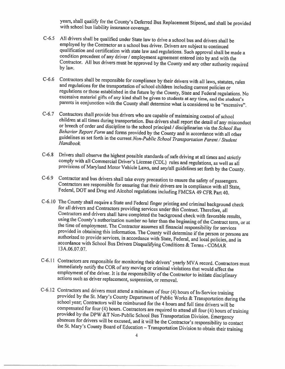years, shall qualify for the County's Deferred Bus Replacement Stipend, and shall be provided with school bus liability insurance coverage.

- C-6.5 All drivers shall be qualified under State law to drive a school bus and drivers shall be<br>employed by the Contractor as a school bus driver. Drivers are subject to continued<br>qualification and certification with state
- C-6.6 Contractors shall be responsible for compliance by their drivers with all laws, statutes, rules<br>and regulations for the transportation of school children including current policies or<br>regulations or those established
- C-6.7 Contractors shall provide bus drivers who are capable of maintaining control of school<br>children at all times during transportation. Bus drivers shall report the detail of any misconduct<br>or breech of order and discipl
- C-6.8 Drivers shall observe the highest possible standards of safe driving at all times and strictly<br>comply with all Commercial Driver's License (CDL) rules and regulations, as well as all<br>provisions of Maryland Motor Vehi
- C-6.9 Contractor and bus drivers shall take every precaution to ensure the safety of passengers.<br>Contractors are responsible for ensuring that their drivers are in compliance with all State,<br>Federal, DOT and Drug and Alcoh
- C-6.10 The County shall require a State and Federal finger printing and criminal background check<br>for all drivers and Contractors providing services under this Contract. Therefore, all<br>Contractors and drivers shall have co accordance with School Bus Drivers Disqualifying Conditions & Terms - COMAR
- C-6.11 Contractors are responsible for monitoring their drivers' yearly MVA record. Contractors must<br>immediately notify the COR of any moving or criminal violations that would affect the<br>employment of the driver. It is the
- C-6.12 Contractors and drivers must attend a minimum of four (4) hours of In-Service training provided by the St. Mary's County Department of Public Works & Transportation during the school year; Contractors will be reimbu compensated for four (4) hours. Contractors are required to attend all four (4) hours of training<br>provided by the DPW &T Non-Public School Bus Transportation Division. Emergency<br>absences for drivers will be excused, and it the St. Mary's County Board of Education - Transportation Division to obtain their training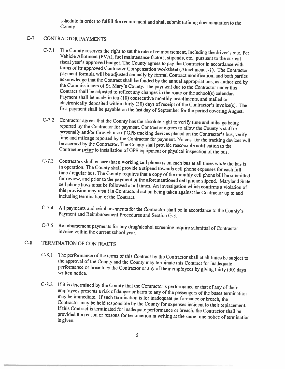schedule in order to fulfill the requirement and shall submit training documentation to the County.

### C-7 CONTRACTOR PAYMENTS

- C-7.1 The County reserves the right to set the rate of reimbursement, including the driver's rate, Per<br>Vehicle Allotment (PVA), fuel maintenance factors, stipends, etc., pursuant to the current<br>fiscal year's approved budge
- C-7.2 Contractor agrees that the County has the absolute right to verify time and mileage being<br>reported by the Contractor for payment. Contractor agrees to allow the County's staff to<br>personally and/or through use of GPS
- C-7.3 Contractors shall ensure that a working cell phone is on each bus at all times while the bus is<br>in operation. The County shall provide a stipend towards cell phone expenses for each full<br>time / regular bus. The Count
- C-7.4 All payments and reimbursements for the Contractor shall be in accordance to the County's Payment and Reimbursement Procedures and Section G-3.
- C-7.5 Reimbursement payments for any drug/alcohol screening require submittal of Contractor invoice within the current school year.

### C-B TERMINATION OF CONTRACTS

- C-8.1 The performance of the terms of this Contract by the Contractor shall at all times be subject to the approval of the County and the County may terminate this Contract for inadequate performance or breach by the Contr
- C-8.2 If it is determined by the County that the Contractor's performance or that of any of their employees presents a risk of danger or harm to any of the passengers of the buses termination may be immediate. If such term Contractor may be held responsible by the County for expenses incident to their replacement.<br>If this Contract is terminated for inadequate performance or breach, the Contractor shall be<br>provided the reason or reasons for t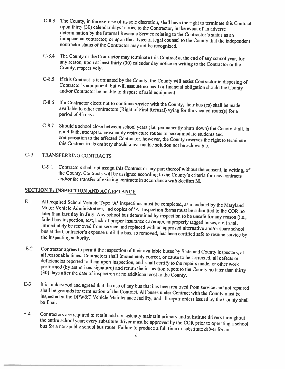- C-8.3 The County, in the exercise of its sole discretion, shall have the right to terminate this Contract determination by the Internal Revenue Service relating to the Contractor's status as an independent contractor, or upon the advice of legal counsel to the County that the independent contractor status of the Contractor may
- C-8.4 The County or the Contractor may terminate this Contract at the end of any school year, for any reason, upon at least thirty (30) calendar day notice in writing to the Contractor or the County, respectively.
- C-8.5 If this Contract is terminated by the County, the County will assist Contractor in disposing of Contractor's equipment, but will assume no legal or financial obligation should the County and/or Contractor be unable t
- C-8.6 Ifa Contractor elects not to continue service with the County, their bus (es) shall be made available to other contractors (Right of First Refusal) vying for the vacated route(s) for <sup>a</sup> period of <sup>45</sup> days.
- C-8.7 Should a school close between school years (i.e. permanently shuts down) the County shall, in good faith, attempt to reasonably restructure routes to accommodate students and compensation to the affected Contractor,

### C-9 TRANSFERRING CONTRACTS

C-9.1 Contractors shall not assign this Contract or any part thereof without the consent, in writing, of the County. Contracts will be assigned according to the County's criteria for new contracts and/or the transfer of ex

### SECTION E: INSPECTION AND ACCEPTANCE

- E-1 All required School Vehicle Type 'A' inspections must be completed, as mandated by the Maryland<br>Motor Vehicle Administration, and copies of 'A' Inspection forms must be submitted to the COR no<br>later than **last day in J**
- E-2 Contractor agrees to permit the inspection of their available buses by State and County inspectors, at all reasonable times. Contractors shall immediately correct, or cause to be corrected, all defects or deficiencies
- E-3 It is understood and agreed that the use of any bus that has been removed from service and not repaired<br>shall be grounds for termination of the Contract. All buses under Contract with the County must be<br>inspected at th
- E-4 Contractors are required to retain and consistently maintain primary and substitute drivers throughout<br>the entire school year; every substitute driver must be approved by the COR prior to operating a school<br>bus for a n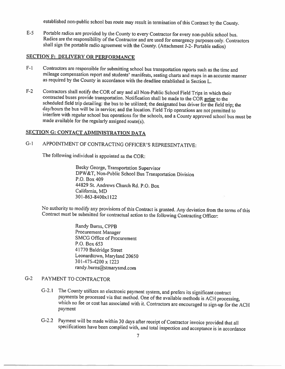established non-public school bus route may result in termination of this Contract by the County.

E-5 Portable radios are provided by the County to every Contractor for every non-public school bus.<br>Radios are the responsibility of the Contractor and are used for emergency purposes only. Contractors shall sign the porta

### SECTION F: DELIVERY OR PERFORMANCE

- F-I Contractors are responsible for submitting school bus transportation reports such as the time and mileage compensation report and students' manifests, seating charts and maps in an accurate manner as required by the County in accordance with the deadline established in Section L.
- F-2 Contractors shall notify the COR of any and all Non-Public School Field Trips in which their<br>contracted buses provide transportation. Notification shall be made to the COR prior to the<br>scheduled field trip detailing:

### **SECTION G: CONTACT ADMINISTRATION DATA**

### G-I APPOINTMENT OF CONTRACTING OFFICER'S REPRESENTATIVE:

The following individual is appointed as the COR:

Becky George, Transportation Supervisor DPW&T, Non-Public School Bus Transportation Division P.O. Box 409 44829 St. Andrews Church Rd. P.O. Box California, MD 30-863-8400x1 122

No authority to modify any provisions of this Contract is granted. Any deviation from the terms of this Contract must be submitted for contractual action to the following Contracting Officer:

Randy Burns, CPPB Procurement Manager SMCG Office of Procurement P.O. Box 653 41770 Baldridge Street Leonardtown, Maryland 20650 301-475-4200 <sup>x</sup> 1223 randy.burns@stmarysmd.com

### G-2 PAYMENT TO CONTRACTOR

- G-2.1 The County utilizes an electronic payment system, and prefers its significant contract payments be processed via that method. One of the available methods is ACH processing, which no fee or cost has associated with it. Contractors are encouraged to sign-up for the ACH payment
- G-2.2 Payment will be made within <sup>30</sup> days after receipt of Contractor invoice provided that all specifications have been complied with, and total inspection and acceptance is in accordance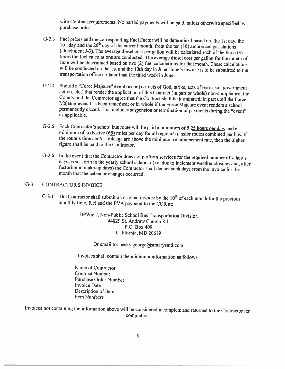with Contract requirements. No partial payments will be paid, unless otherwise specified by purchase order.

- G-2.3 Fuel prices and the corresponding Fuel Factor will be determined based on, the 1st day, the  $10^{\text{th}}$  day and the  $20^{\text{th}}$  day of the current month, from the ten (10) authorized gas stations (attachment J-3). The will be conducted on the 1st and the 10th day in June. June's invoice is to be submitted to the transportation office no later than the third week in June.
- G-2.4 Should a "Force Majeure" event occur (i.e. acts of God, strike, acts of terrorism, government action, etc.) that render the application of this Contract (in part or whole) non-compliance, the County and the Contracto as applicable.
- G-2.5 Each Contractor's school bus route will be paid a minimum of  $5.25$  hours per day, and a minimum of  $sixty-five (65)$  miles per day for all regular/ transfer routes combined per bus. If the route's time and/or mileage are
- G-2.6 In the event that the Contractor does not perform services for the required number of schools days as set forth in the yearly school calendar (i.e. due to inclement weather closings and, after factoring in make-up da

### G-3 CONTRACTOR'S INVOICE

G-3.1 The Contractor shall submit an original invoice by the  $10<sup>th</sup>$  of each month for the previous monthly time, fuel and the PVA payment to the COR at:

DPW&T, Non-Public School Bus Transportation Division 44829 St. Andrew Church Rd. P.O. Box 409 California, MD 20619

Or email to: becky.george@stmarysmd.com

Invoices shall contain the minimum information as follows:

Name of Contractor Contract Number Purchase Order Number Invoice Date Description of Item Item Numbers

Invoices not containing the information above will be considered incomplete and returned to the Contractor for completion.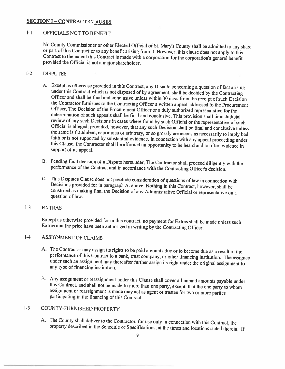#### **SECTION I - CONTRACT CLAUSES**

### 1-I OFFICIALS NOT TO BENEFIT

No County Commissioner or other Elected Official of St. Mary's County shall be admitted to any share or part of this Contract or to any benefit arising from it. However, this clause does not apply to this Contract to the extent this Contract is made with a corporation for the corporation's general benefit provided the Official is not a major shareholder.

#### 1-2 DISPUTES

- A. Except as otherwise provided in this Contract, any Dispute concerning a question of fact arising<br>under this Contract which is not disposed of by agreement, shall be decided by the Contracting<br>Officer and shall be final support of its appeal.
- 13. Pending final decision of <sup>a</sup> Dispute hereunder, The Contractor shalt proceed diligently with the performance of the Contract and in accordance with the Contracting Officer's decision.
- C. This Disputes Clause does not preclude consideration of questions of law in connection with Decisions provided for in paragraph A. above. Nothing in this Contract, however, shall be construed as making final the Decisio

### 1-3 EXTRAS

Except as otherwise provided for in this contract, no payment for Extras shall be made unless such Extras and the price have been authorized in writing by the Contracting Officer.

### 1-4 ASSIGNMENT OF CLAIMS

- A. The Contractor may assign its rights to be paid amounts due or to become due as a result of the performance of this Contract to a bank, trust company, or other financing institution. The assignee under such an assignment may thereafter further assign its right under the original assignment to any type of financing institution.
- B. Any assignment or reassignment under this Clause shall cover all unpaid amounts payable under this Contract, and shall not be made to more than one party, except, that the one party to whom assignment or reassignment is

### 1-5 COUNTY-FURNISHED PROPERTY

A. The County shall deliver to the Contractor, for use only in connection with this Contract, the property described in the Schedule or Specifications, at the times and locations stated therein. If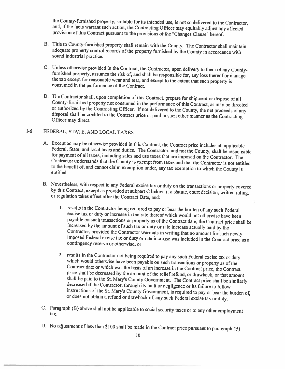the County-furnished property, suitable for its intended use, is not so delivered to the Contractor, and, if the facts warrant such action, the Contracting Officer may equitably adjust any affected provision of this Contra

- B. Title to County-furnished property shall remain with the County. The Contractor shall maintain adequate property control records of the property furnished by the County in accordance with sound industrial practice.
- C. Unless otherwise provided in the Contract, the Contractor, upon delivery to them of any County-<br>furnished property, assumes the risk of, and shall be responsible for, any loss thereof or damage<br>thereto except for reason
- D. The Contractor shall, upon completion of this Contract, prepare for shipment or dispose of all County-furnished property not consumed in the performance of this Contract, as may be directed or authorized by the Contract

### 1-6 FEDERAL, STATE, AND LOCAL TAXES

- A. Except as may be otherwise provided in this Contract, the Contract price includes all applicable<br>Federal, State, and local taxes and duties. The Contractor, and not the County, shall be responsible<br>for payment of all ta
- B. Nevertheless, with respect to any Federal excise tax or duty on the transactions or property covered<br>by this Contract, except as provided at subpart C below, if a statute, court decision, written ruling,<br>or regulation t
	- 1. results in the Contractor being required to pay or bear the burden of any such Federal excise tax or duty or increase in the rate thereof which would not otherwise have been payable on such transactions or property as o
	- 2. results in the Contractor not being required to pay any such Federal excise tax or duty<br>which would otherwise have been payable on such transactions or property as of the<br>Contract date or which was the basis of an incre or does not obtain <sup>a</sup> refund or drawback of, any such Federal excise tax or duty.
- C. Paragraph (B) above shall not be applicable to social security taxes or to any other employment tax.
- D. No adjustment of less than \$100 shall be made in the Contract price pursuant to paragraph (B)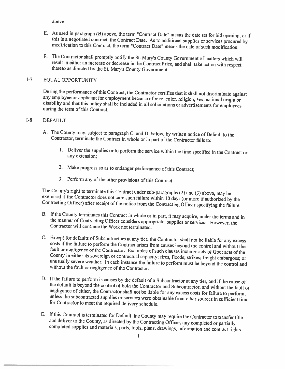above.

- E. As used in paragraph (B) above, the term "Contract Date" means the date set for bid opening, or if this is a negotiated contract, the Contract Date. As to additional supplies or services procured by modification to this
- F. The Contractor shall promptly notify the St. Mary's County Government of matters which will result in either an increase or decrease in the Contract Price, and shall take action with respect thereto as directed by the S

### 1-7 EQUAL OPPORTUNITY

During the performance of this Contract, the Contractor certifies that it shall not discriminate against<br>any employee or applicant for employment because of race, color, religion, sex, national origin or<br>disability and tha

#### 1-8 DEFAULT

- A. The County may, subject to paragraph C. and D. below, by written notice of Default to the Contractor, terminate the Contract in whole or in part of the Contractor fails to:
	- 1. Deliver the supplies or to perform the service within the time specified in the Contract or any extension;
	- 2. Make progress so as to endanger performance of this Contract;
	- 3. Perform any of the other provisions of this Contract.

The County's right to terminate this Contract under sub-paragraphs (2) and (3) above, may be exercised if the Contractor does not cure such failure within 10 days (or more if authorized by the Contracting Officer) after re

- B. If the County terminates this Contract in whole or in part, it may acquire, under the terms and in the manner of Contracting Officer considers appropriate, supplies or services. However, the Contractor will continue the
- C. Except for defaults of Subcontractors at any tier, the Contractor shall not be liable for any excess costs if the failure to perform the Contract arises from causes beyond the control and without the fault or negligence
- D. If the failure to perform is causes by the default of a Subcontractor at any tier, and if the cause of the default is beyond the control of both the Contractor and Subcontractor, and without the fault or negligence of e unless the subcontracted supplies or services were obtainable from other sources in sufficient time<br>for Contractor to meet the required delivery schedule.
- E. If this Contract is terminated for Default, the County may require the Contractor to transfer title and deliver to the County, as directed by the Contracting Officer, any completed or partially completed supplies and ma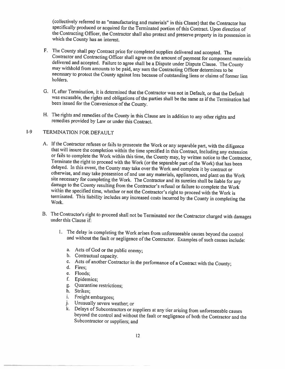(collectively referred to as "manufacturing and materials" in this Clause) that the Contractor has the Contracting Officer, the Contractor shall also protect and preserve property in its possession in which the County has an interest.

- F. The County shall pay Contract price for completed supplies delivered and accepted. The<br>Contractor and Contracting Officer shall agree on the amount of payment for component materials<br>delivered and accepted. Failure to a may withhold from amounts to be paid, any sum the Contracting Officer determines to be necessary to protect the County against loss because of outstanding liens or claims of former lien holders.
- 0. If, after Termination, it is determined that the Contractor was not in Default, or that the Default was excusable, the rights and obligations of the parties shall be the same as if the Termination had been issued for the Convenience of the County.
- H. The rights and remedies of the County in this Clause are in addition to any other rights and remedies provided by Law or under this Contract.

### 1-9 TERMINATION FOR DEFAULT

- A. If the Contractor refuses or fails to prosecute the Work or any separable part, with the diligence that will insure the completion within the time specified in this Contract, Including any extension or fails to complete
- B. The Contractor's right to proceed shall not be Terminated nor the Contractor charged with damages under this Clause if:
	- 1. The delay in completing the Work arises from unforeseeable causes beyond the control and without the fault or negligence of the Contractor. Examples of such causes include:
		- a. Acts of God or the public enemy;
		- b. Contractual capacity.
		- c. Acts of another Contractor in the performance of <sup>a</sup> Contract with the County; d. Fires;
		-
		- e. Floods;
		- f. Epidemics;
		- g. Quarantine restrictions;
		- h. Strikes;
		-
		- i. Freight embargoes;<br>j. Unusually severe weather; or
		- k. Delays of Subcontractors or suppliers at any tier arising from unforeseeable causes<br>beyond the control and without the fault or negligence of both the Contractor and the<br>Subcontractor or suppliers: and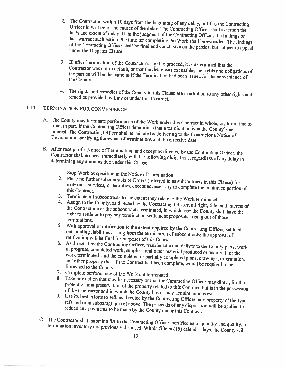- 2. The Contractor, within 10 days from the beginning of any delay, notifies the Contracting Officer in writing of the causes of the delay. The Contracting Officer shall ascertain the facts and extent of delay. If, in the j
- 3. If, after Termination of the Contractor's right to proceed, it is determined that the Contractor was not in default, or that the delay was excusable, the rights and obligations of the parties will be the same as if the
- 4. The rights and remedies of the County in this Clause are in addition to any other rights and remedies provided by Law or under this Contract.

### 1-10 TERMINATION FOR CONVENIENCE

- A. The County may terminate performance of the Work under this Contract in whole, or, from time to time, in part, if the Contracting Officer determines that a termination is in the County's best interest. The Contracting O
- B. After receipt of a Notice of Termination, and except as directed by the Contracting Officer, the Contractor shall proceed immediately with the following obligations, regardless of any delay in determining any amounts du
	-
	- 1. Stop Work as specified in the Notice of Termination.<br>2. Place no further subcontracts or Orders (referred to as subcontracts in this Clause) for materials, Place no further subcontracts or Orders (referred to as subcontracts in this Clause) for materials, services, or facilities, except as necessary to complete the continued portion of this Contract.
	-
	- 3. Terminate all subcontracts to the extent they relate to the Work terminated.<br>4. Assign to the County, as directed by the Contracting Officer, all right, title, and interest of<br>the Contract under the subcontracts termina
	- 5. With approval or ratification to the extent required by the Contracting Officer, settle all outstanding liabilities arising from the termination of subcontracts; the approval of ratification will be final for purposes o
	- work in progress, completed work, supplies, and other material produced or acquired for the work terminated, and the completed or partially completed plans, drawings, information, and other property that, if the Contract had be
	-
	-
	- 7. Complete performance of the Work not terminated.<br>
	8. Take any action that may be necessary or that the Contracting Officer may direct, for the<br>
	protection and preservation of the property related to this Contract that
- C. termination termination inventory not previously disposed. Within fifteen (15) calendar days, the County will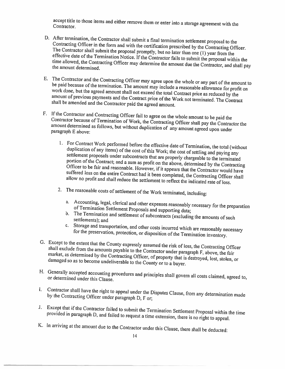accept title to those items and either remove them or enter into <sup>a</sup> storage agreement with the Contractor.

- D. After termination, the Contractor shall submit a final termination settlement proposal to the<br>Contracting Officer in the form and with the certification prescribed by the Contracting Officer.<br>The Contractor shall submit
- E. The Contractor and the Contracting Officer may agree upon the whole or any part of the amount to work done, but the agreed amount shall not exceed the total Contract price as reduced by the amount of previous payments and the Contract price of the Work not terminated. The Contract shall be amended and the Contractor paid the agreed amount.
- F. If the Contractor and Contracting Officer fail to agree on the whole amount to be paid the Contractor If the Contractor and Contracting Officer fail to agree on the whole amount to be paid the<br>Contractor because of Termination of Work, the Contracting Officer shall pay the Contractor the<br>amount determined as follows, but w amount determined as follows, but without duplication of any amount agreed upon under paragraph E above:
	- 1. For Contract Work performed before the effective date of Termination, the total (without duplication of any items) of the cost of this Work; the cost of settling and paying any settlement proposals under subcontracts th Officer to be fair and reasonable. However, if it appears that the Contractor would have suffered loss on the entire Contract had it been completed, the Contracting Officer shall<br>allow no profit and shall reduce the settlement to reflect the indicated rate of loss.
	- 2. The reasonable costs of settlement of the Work terminated, including:
		- a. Accounting, legal, clerical and other expenses reasonably necessary for the preparation<br>of Termination Settlement Proposals and supporting data;<br>b. The Termination and settlement of subcontracts (excluding the amounts o
		-
		- c. Storage and transportation, and other costs incurred which are reasonably necessary for the preservation, protection, or disposition of the Termination inventory.
- G. Except to the extent that the County expressly assumed the risk of loss, the Contracting Officer market, shall exclude from the amounts payable to the Contractor under paragraph F, above, the fair damaged so as to become undeliverable to the County or to a buyer. market, as determined by the Contracting Officer, of property that is destroyed, lost, stolen, or
- H. or Generally nerally accepted accounting procedures and principles shall govern all costs claimed, agreed to,<br>determined under this Clause.
- by the Contracting Officer under paragraph D, F or; Contractor shall have the right to appeal under the Disputes Clause, from any determination made<br>by the Contracting Officer under paragraph D, F or;
- provided Except that if the Contractor failed to submit the Termination Settlement Proposal within the time<br>provided in paragraph D, and failed to request a time extension, there is no right to appeal.
- K. In arriving at the amount due to the Contractor under this Clause, there shall be deducted: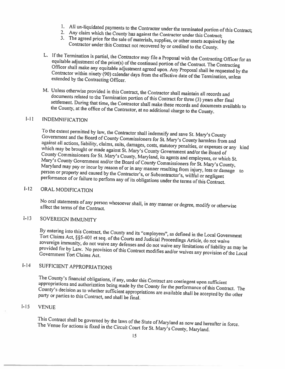- 
- 
- 1. All un-liquidated payments to the Contractor under the terminated portion of this Contract;<br>2. Any claim which the County has against the Contractor under this Contract;<br>3. The agreed price for the sale of materials, su
- L. If the Termination is partial, the Contractor may file a Proposal with the Contracting Officer for an equitable adjustment of the price(s) of the continued portion of the Contract. The Contracting Officer shall make any Contractor Officer shall make any equitable adjustment agreed upon. Any Proposal shall be requested by the Contractor within ninety (90) calendar days from the effective date of the Termination, unless extended by the Contracting Off
- M. Unless otherwise provided in this Contract, the Contractor shall maintain all records and<br>documents related to the Termination portion of this Contract for three (3) years after final<br>settlement. During that time, the C

### [-Il INDEMNIFICATION

To the extent permitted by law, the Contractor shall indemnify and save St. Mary's County Government the extent permitted by law, the Contractor shall indemnify and save St. Mary's County<br>vernment and the Board of County Commissioners for St. Mary's County harmless from and<br>inst all actions. In this way which against all actions, liability, claims, suits, damages, costs, statutory penalties, or expenses or any kind<br>which may be brought or made against St. Manages, costs, statutory penalties, or expenses or any kind may be brought or made against St. Mary's County Government and/or the Board of County Commissioners for St. Mary's County, Maryland, its agents and employees, or which St. Mary's County Government and/or the Board of County Commissioners for St. Mary's County,<br>Maryland may nay or inour by resear of and of County Commissioners for St. Mary's County, Maryland may pay or incur by reason of or in any manner resulting from injury, loss or damage to person or Maryland may pay or incur by reason of or in any manner resulting from injury, loss or damage to<br>person or property and caused by the Contractor's, or Subcontractor's, willful or negligent<br>performance of or failure to perf

### 1-12 ORAL MODIFICATION

No oral statements of any person whosoever shall, in any manner or degree, modify or otherwise affect the terms of the Contract.

### **I-13** SOVEREIGN IMMUNITY

Tort By entering Claims into Act, By entering into this Contract, the County and its "employees", as defined in the Local Government<br>Fort Claims Act, §§5-401 et seq. of the Courts and Judicial Proceedings Article, do not waive<br>sovereign immunity, do not wa provided for sovereign immunity, do not waive any defenses and do not waive any limitations of liability as may be Government by Law. No provision of this Contract modifies and/or waives any provision of the Local<br>Tort Claims Act. Tort Claims

### 1-14 SUFFICIENT APPROPRIATIONS

The County's financial obligations, if any, under this Contract are contingent upon sufficient County's decision as to whether sufficient appropriations are available shall be accepted by the other<br>party or parties to this Contract, and shall be final. appropriations and authorization being made by the County for the performance of this Contract. The party or parties to this Contract, and shall be final.

#### 1-15 VENUE

The This Venue Contract shall be governed by the laws of the State of Maryland as now and hereafter in force.<br>/enue for actions is fixed in the Circuit Court for St. Mary's County, Maryland.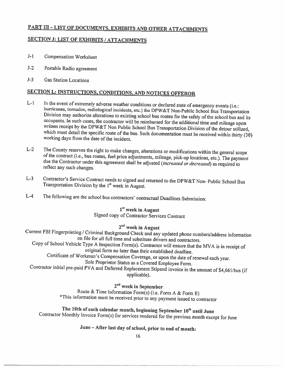### PART III - LIST OF DOCUMENTS, EXHIBITS AND OTHER ATTACHMENTS

### SECTION J: LIST OF EXHIBITS / ATTACHMENTS

- J-l Compensation Worksheet
- J-2 Portable Radio agreement
- J-3 Gas Station Locations

### SECTION L: INSTRUCTIONS, CONDITIONS, AND NOTICES OFFEROR

- L-1 In the event of extremely adverse weather conditions or declared state of emergency events (i.e.:<br>hurricanes, tornados, radiological incidents, etc.) the DPW&T Non-Public School Bus Transportation<br>Division may authoriz
- L-2 The County reserves the right to make changes, alterations or modifications within the general scope of the contract (i.e., bus routes, fuel price adjustments, mileage, pick-up locations, etc.). The payment due the Con
- L-3 Contractor's Service Contract needs to signed and returned to the DPW&T Non- Public School Bus<br>Transportation Division by the 1<sup>st</sup> week in August.
- L-4 The following are the school bus contractors' contractual Deadlines Submission:

### 1<sup>st</sup> week in August

Signed copy of Contractor Services Contract

2<sup>nd</sup> week in August<br>Current FBI Fingerprinting / Criminal Background Check and any updated phone numbers/address information<br>on file for all full time and substitute drivers and contractors.

Copy of School Vehicle Type A Inspection Form(s). Contractor will ensure that the MVA is in receipt of<br>original form no later than their established deadline.<br>Certificate of Workman's Compensation Coverage, or upon the dat

applicable).

 $2^{nd}$  week in September<br>Route & Time Information Form(s) (i.e. Form A & Form B) \*This information must be received prior to any payment issued to contractor

The 10th of each calendar month, beginning September  $10<sup>th</sup>$  until June Contractor Monthly Invoice Form(s) for services rendered for the previous month except for June

### June — After last day of school, prior to end of month: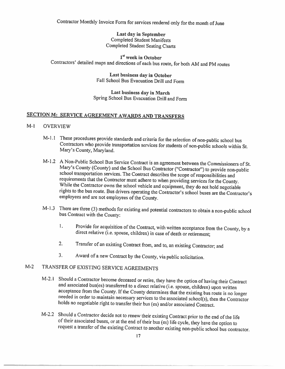Contractor Monthly Invoice Form for services rendered only for the month of June

Last day in September Completed Student Manifests Completed Student Seating Charts

1<sup>st</sup> week in October Contractors' detailed maps and directions of each bus route, for both AM and PM routes

> Last business day in October Fall School Bus Evacuation Drill and Form

Last business day in March Spring School Bus Evacuation Drill and Form

### SECTION M: SERVICE AGREEMENT AWARDS AND TRANSFERS

#### M-l OVERVIEW

- M-1.l These procedures provide standards and criteria for the selection of non-public school bus Contractors who provide transportation services for students of non-public schools within St. Mary's County, Maryland.
- M-1.2 A Non-Public School Bus Service Contract is an agreement between the Commissioners of St.<br>Mary's County (County) and the School Bus Contractor ("Contractor") to provide non-public<br>school transportation services. The
- M-1.3 There are three (3) methods for existing and potential contractors to obtain a non-public school bus Contract with the County:
	- I. Provide for acquisition of the Contract, with written acceptance from the County, by a direct relative (i.e. spouse, children) in case of death or retirement;
	- 2. Transfer of an existing Contract from, and to, an existing Contractor; and
	- 3. Award ofa new Contract by the County, via public solicitation.

### M-2 TRANSFER OF EXISTING SERVICE AGREEMENTS

- M-2.1 Should a Contractor become deceased or retire, they have the option of having their Contract<br>and associated bus(es) transferred to a direct relative (i.e. spouse, children) upon written<br>acceptance from the County. If
- M-2.2 Should a Contractor decide not to renew their existing Contract prior to the end of the life<br>of their associated buses, or at the end of their bus (es) life cycle, they have the option to<br>request a transfer of the ex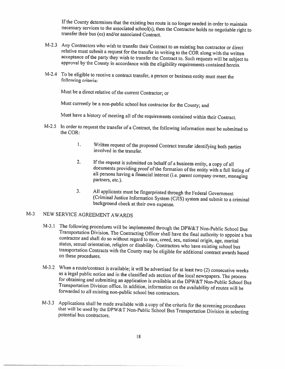If the County determines that the existing bus route is no longer needed in order to maintain necessary services to the associated school(s). then the Contractor holds no negotiable right to transfer their bus (es) and/or associated Contract.

- M-2.3 Any Contractors who wish to transfer their Contract to an existing bus contractor or direct relative must submit a request for the transfer in writing to the COR along with the written acceptance of the party they wi
- M-2.4 To be eligible to receive <sup>a</sup> contract transfer, <sup>a</sup> person or business entity must meet the following criteria:

Must be <sup>a</sup> direct relative of the current Contractor; or

Must currently be <sup>a</sup> non-public school bus contractor for the County; and

Must have <sup>a</sup> history of meeting all of the requirements contained within their Contract.

- M-2.5 In order to request the transfer of a Contract, the following information must be submitted to the COR:
	- I. Written request of the proposed Contract transfer identifying both parties involved in the transfer.
	- 2. If the request is submitted on behalf of a business entity, a copy of all documents providing proof of the formation of the entity with a full listing of all persons having a financial interest (i.e. parent company owne
	- 3. All applicants must be fingerprinted through the Federal Government<br>(Criminal Justice Information System (CJIS) system and submit to a criminal<br>background check at their own expense.

### M-3 NEW SERVICE AGREEMENT AWARDS

- M-3.1 The following procedures will be implemented through the DPW&T Non-Public School Bus<br>Transportation Division. The Contracting Officer shall have the final authority to appoint a bus<br>contractor and shall do so without on these procedures.
- M-3.2 When a route/contract is available; it will be advertised for at least two (2) consecutive weeks as a legal public notice and in the classified ads section of the local newspapers. The process for obtaining and submitting an application is available at the DPW&T Non-Public School Bus<br>Transportation Division office. In addition, information on the availability of routes will be<br>forwarded to all existing non-publi
- M-3.3 Applications shall be made available with <sup>a</sup> copy of the criteria for the screening procedures that will be used by the DPW&T Non-Public School Bus Transportation Division in selecting potential bus contractors.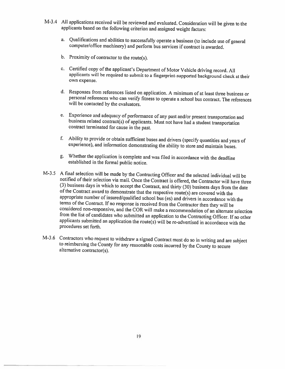- M-3.4 All applications received will be reviewed and evaluated. Consideration will be <sup>g</sup>iven to the applicants based on the following criterion and assigned weight factors:
	- a. Qualifications and abilities to successfully operate <sup>a</sup> business (to include use of general computer/office machinery) and perform bus services if contract is awarded.
	- b. Proximity of contractor to the route(s).
	- c. Certified copy of the applicant's Department of Motor Vehicle driving record. All applicants will be required to submit to <sup>a</sup> fingerprint-supported background check at their own expense.
	- d. Responses from references listed on application. <sup>A</sup> minimum ofat least three business or personal references who can verify fitness to operate <sup>a</sup> school bus contract. The references will be contacted by the evaluators.
	- e. Experience and adequacy of performance of any past and/or present transportation and business related contract(s) of applicants. Must not have had <sup>a</sup> student transportation contract terminated for cause in the past.
	- f. Ability to provide or obtain sufficient buses and drivers (specify quantities and years of experience), and information demonstrating the ability to store and maintain buses.
	- g. Whether the application is complete and was filed in accordance with the deadline established in the formal public notice.
- M-3.5 A final selection will be made by the Contracting Officer and the selected individual will be notified of their selection via mail. Once the Contract is offered, the Contractor will have three (3) business days in w terms of the Contract. If no response is received from the Contractor then they will be<br>considered non-responsive, and the COR will make a recommendation of an alternate selection<br>from the list of candidates who submitted applicants submitted an application the route(s) will be re-advertised in accordance with the procedures set forth.
- M-3.6 Contractors who request to withdraw a signed Contract must do so in writing and are subject to reimbursing the County for any reasonable costs incurred by the County to secure alternative contractor(s).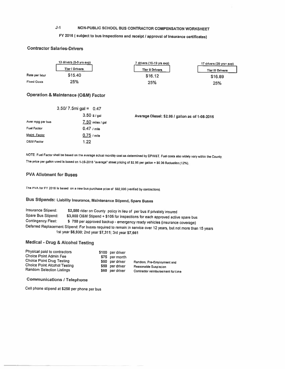#### J-1 NON-PUBLIC SCHOOL BUS CONTRACTOR COMPENSATION WORKSHEET

#### FY 2016 (subject to bus inspections and receipt / approval of Insurance certificates)

#### Contractor Salaries-Drivers

|                    | 13 drivers (0-9 yrs exp) | 7 drivers (10-19 yrs exp) | 17 drivers (20 yrs+ exp) |  |
|--------------------|--------------------------|---------------------------|--------------------------|--|
|                    | <b>Tier I Drivers</b>    | <b>Tier II Drivers</b>    | <b>Tier III Drivers</b>  |  |
| Rate per hour      | \$15,40                  | \$16.12                   | \$16.89                  |  |
| <b>Fixed Costs</b> | 25%                      | 25%                       | 25%                      |  |

#### Operation & Maintenace (O&M) Factor

|                    | $3,50/7.5$ mi gal = 0.47 |                    |                                                 |
|--------------------|--------------------------|--------------------|-------------------------------------------------|
|                    |                          | 3.50 s/gal         | Average Diesel: \$2.96 / gallon as of 1-08-2015 |
| Aver mpg per bus   |                          | $7.50$ miles / gal |                                                 |
| <b>Fuel Factor</b> | $0.47$ / mile            |                    |                                                 |
| Maint Factor       | $0.75$ / mlle            |                    |                                                 |
| O&M Factor         | 1.22                     |                    |                                                 |
|                    |                          |                    |                                                 |

NOTE; Fuel Factor shall be based on the average actual monthly coat as determined by DFW&T. Fuel costs also widely vary within the County. The price per gallon used is based on 1-08-2015 "average" street pricing of \$2.96 per gallon + \$0.36 fluctuation (12%).

#### PVA Allotment for Buses

The PVA for FY <sup>2016</sup> Is based on <sup>a</sup> new bus purchase price of 592.000 (verified by contractors).

### Bus Stipends: Liability Insurance, Maintenance Stipend, Spare Buses

Insurance Stipend: \$2,580 rider on County policy in lieu of per bus if privately insured<br>Spare Bus Stipend: \$3,000 O&M Stipend + \$105 for inspections for each approved active spare bus<br>Contingency Fleet: \$750 per approved Deferred Replacement Stipend: For buses required to remain in service over 12 years, but not more than 15 years<br>1st year \$6,930; 2nd year \$7,311; 3rd year \$7,661

#### Medical - Drug & Alcohol Testing

| Physical paid to contractors        | \$100 per driver |                                   |
|-------------------------------------|------------------|-----------------------------------|
| Choice Point Admin Fee              | \$75 per month   |                                   |
| Choice Point Drug Testing           | \$50 per driver  |                                   |
| <b>Choice Point Alcohol Testing</b> |                  | Random, Pre-Employment and        |
|                                     | \$50 per driver  | Reasonable Suspiscion             |
| <b>Random Selection Listings</b>    | \$60 per driver  | Contractor reimbursement for time |

#### Communications / Telephone

Cell <sup>p</sup>hone stipend at \$250 per <sup>p</sup>hone per bus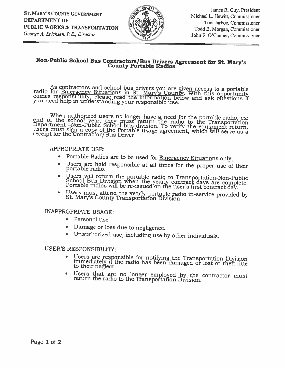

# Non-Public School Bus Contractors/Bus Drivers Agreement for St. Mary's County Portable Radios

As contractors and school bus drivers you are given access to a portable<br>radio for <u>Emergency Situations in St. Mary's County</u>. With this opportunity<br>comes responsibility. Please read the information below and ask question

When authorized users no longer have a need for the portable radio, ex:<br>f the school wear, thay must not a local for the portable radio, ex Department end of the school year, they must return the radio to the portable radio, ex.<br>Department –Non-Public School bus division. To verify the equipment return,<br>users must sign a copy of the Portable usage agreement, which will s

### APPROPRIATE USE:

- •Portable Radios are to be used for Emergency Situations only.
- •Users are held responsible at all times for the proper use of their portable radio.
- Users will return the portable radio to Transportation-Non-Public School Bus Division when the yearly contract days are complete. Portable radios will be re-issued on the user's first contract day.
- •Users must attend the yearly portable radio in-service provided by St. Mary's County Transportation Division.

### INAPPROPRIATE USAGE:

- •Personal use
- •Damage or loss due to negligence.
- •Unauthorized use, including use by other individuals.

### USER'S RESPONSIBILITY:

- •Users are responsible for notifying the Transportation Division immediately it the radio has been damaged or lost or theft due to their neglect.
- •Users that are no longer employed by the contractor must return the radio to the Transportation Division.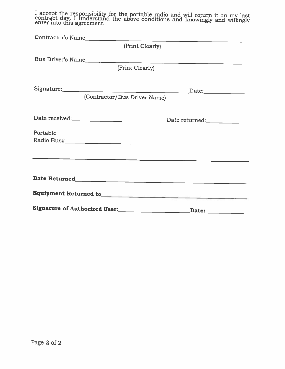<sup>I</sup> accept the responsibility for the portable radio and will return it on my. last contract day. <sup>I</sup> understand the above conditions and knowingly and willingly enter into this agreement.

| Contractor's Name                                                                                                                                                                                                                    |                |  |  |  |  |
|--------------------------------------------------------------------------------------------------------------------------------------------------------------------------------------------------------------------------------------|----------------|--|--|--|--|
| (Print Clearly)                                                                                                                                                                                                                      |                |  |  |  |  |
| Bus Driver's Name                                                                                                                                                                                                                    |                |  |  |  |  |
| (Print Clearly)                                                                                                                                                                                                                      |                |  |  |  |  |
|                                                                                                                                                                                                                                      |                |  |  |  |  |
| (Contractor/Bus Driver Name)                                                                                                                                                                                                         |                |  |  |  |  |
| Date received:                                                                                                                                                                                                                       | Date returned: |  |  |  |  |
| Portable                                                                                                                                                                                                                             |                |  |  |  |  |
| Date Returned <u>and the contract of the contract of the contract of the contract of the contract of the contract of the contract of the contract of the contract of the contract of the contract of the contract of the contrac</u> |                |  |  |  |  |
| Equipment Returned to <b>Executive Community</b> of the Community of the Community of the Community of the Community of the Community of the Community of the Community of the Community of the Community of the Community of the C  |                |  |  |  |  |
| Signature of Authorized User: ______________                                                                                                                                                                                         | Date:          |  |  |  |  |